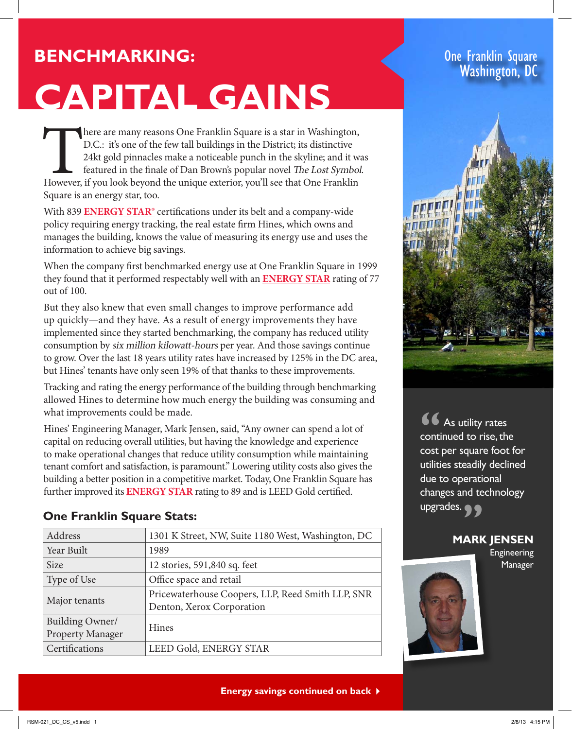# **Benchmarking:**

# **Capital Gains**

There are many reasons One Franklin Square is a star in Washington, D.C.: it's one of the few tall buildings in the District; its distinctive 24kt gold pinnacles make a noticeable punch in the skyline; and it was featured D.C.: it's one of the few tall buildings in the District; its distinctive 24kt gold pinnacles make a noticeable punch in the skyline; and it was featured in the finale of Dan Brown's popular novel The Lost Symbol. Square is an energy star, too.

With 839 **ENERGY STAR®** certifications under its belt and a company-wide policy requiring energy tracking, the real estate firm Hines, which owns and manages the building, knows the value of measuring its energy use and uses the information to achieve big savings.

When the company first benchmarked energy use at One Franklin Square in 1999 they found that it performed respectably well with an **ENERGY STAR** rating of 77 out of 100.

But they also knew that even small changes to improve performance add up quickly—and they have. As a result of energy improvements they have implemented since they started benchmarking, the company has reduced utility consumption by six million kilowatt-hours per year. And those savings continue to grow. Over the last 18 years utility rates have increased by 125% in the DC area, but Hines' tenants have only seen 19% of that thanks to these improvements.

Tracking and rating the energy performance of the building through benchmarking allowed Hines to determine how much energy the building was consuming and what improvements could be made.

Hines' Engineering Manager, Mark Jensen, said, "Any owner can spend a lot of capital on reducing overall utilities, but having the knowledge and experience to make operational changes that reduce utility consumption while maintaining tenant comfort and satisfaction, is paramount." Lowering utility costs also gives the building a better position in a competitive market. Today, One Franklin Square has further improved its **ENERGY STAR** rating to 89 and is LEED Gold certified.

# **One Franklin Square Stats:**

| Address                             | 1301 K Street, NW, Suite 1180 West, Washington, DC                             |
|-------------------------------------|--------------------------------------------------------------------------------|
| Year Built                          | 1989                                                                           |
| <b>Size</b>                         | 12 stories, 591,840 sq. feet                                                   |
| Type of Use                         | Office space and retail                                                        |
| Major tenants                       | Pricewaterhouse Coopers, LLP, Reed Smith LLP, SNR<br>Denton, Xerox Corporation |
| Building Owner/<br>Property Manager | <b>Hines</b>                                                                   |
| Certifications                      | <b>LEED Gold, ENERGY STAR</b>                                                  |

## One Franklin Square Washington, DC



As utility rates continued to rise, the cost per square foot for utilities steadily declined due to operational changes and technology changes and te<br>upgrades. **66**<br> **conti** 

### **Mark Jensen**

Engineering Manager



**Energy savings continued on back**